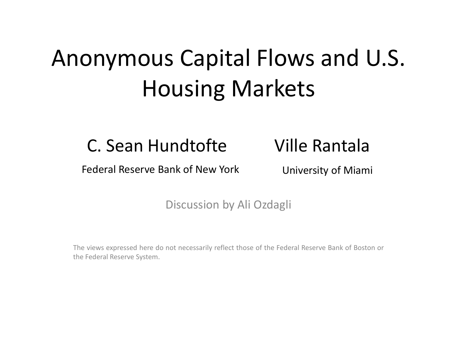### Anonymous Capital Flows and U.S. Housing Markets

#### C. Sean Hundtofte Ville Rantala

Federal Reserve Bank of New York University of Miami

#### Discussion by Ali Ozdagli

The views expressed here do not necessarily reflect those of the Federal Reserve Bank of Boston or the Federal Reserve System.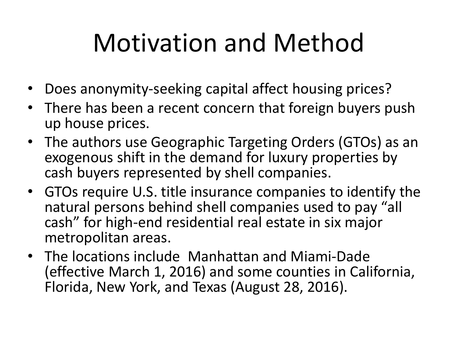### Motivation and Method

- Does anonymity-seeking capital affect housing prices?
- There has been a recent concern that foreign buyers push up house prices.
- The authors use Geographic Targeting Orders (GTOs) as an exogenous shift in the demand for luxury properties by cash buyers represented by shell companies.
- GTOs require U.S. title insurance companies to identify the natural persons behind shell companies used to pay "all cash" for high-end residential real estate in six major metropolitan areas.
- The locations include Manhattan and Miami-Dade (effective March 1, 2016) and some counties in California, Florida, New York, and Texas (August 28, 2016).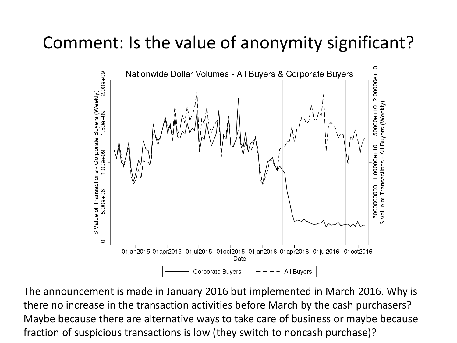### Comment: Is the value of anonymity significant?



The announcement is made in January 2016 but implemented in March 2016. Why is there no increase in the transaction activities before March by the cash purchasers? Maybe because there are alternative ways to take care of business or maybe because fraction of suspicious transactions is low (they switch to noncash purchase)?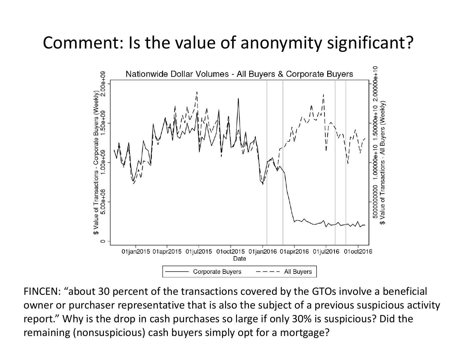### Comment: Is the value of anonymity significant?



FINCEN: "about 30 percent of the transactions covered by the GTOs involve a beneficial owner or purchaser representative that is also the subject of a previous suspicious activity report." Why is the drop in cash purchases so large if only 30% is suspicious? Did the remaining (nonsuspicious) cash buyers simply opt for a mortgage?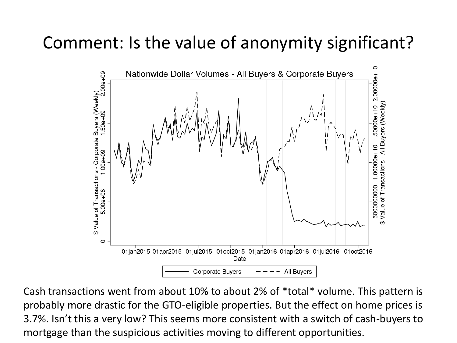### Comment: Is the value of anonymity significant?



Cash transactions went from about 10% to about 2% of \*total\* volume. This pattern is probably more drastic for the GTO-eligible properties. But the effect on home prices is 3.7%. Isn't this a very low? This seems more consistent with a switch of cash-buyers to mortgage than the suspicious activities moving to different opportunities.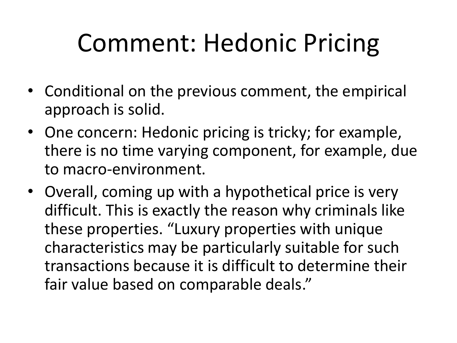# Comment: Hedonic Pricing

- Conditional on the previous comment, the empirical approach is solid.
- One concern: Hedonic pricing is tricky; for example, there is no time varying component, for example, due to macro-environment.
- Overall, coming up with a hypothetical price is very difficult. This is exactly the reason why criminals like these properties. "Luxury properties with unique characteristics may be particularly suitable for such transactions because it is difficult to determine their fair value based on comparable deals."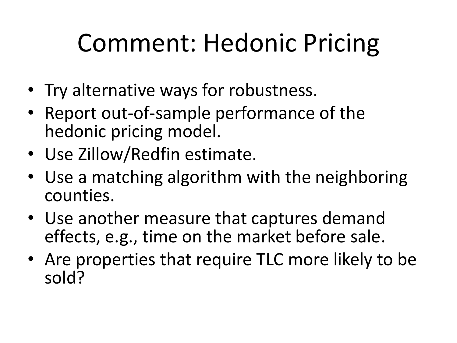# Comment: Hedonic Pricing

- Try alternative ways for robustness.
- Report out-of-sample performance of the hedonic pricing model.
- Use Zillow/Redfin estimate.
- Use a matching algorithm with the neighboring counties.
- Use another measure that captures demand effects, e.g., time on the market before sale.
- Are properties that require TLC more likely to be sold?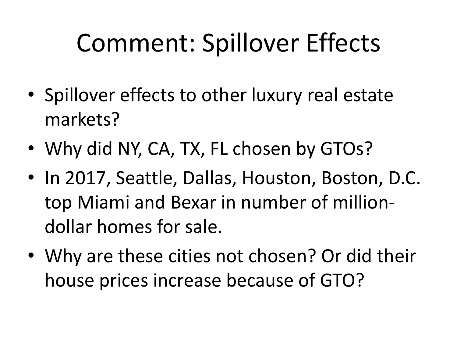### Comment: Spillover Effects

- Spillover effects to other luxury real estate markets?
- Why did NY, CA, TX, FL chosen by GTOs?
- In 2017, Seattle, Dallas, Houston, Boston, D.C. top Miami and Bexar in number of milliondollar homes for sale.
- Why are these cities not chosen? Or did their house prices increase because of GTO?